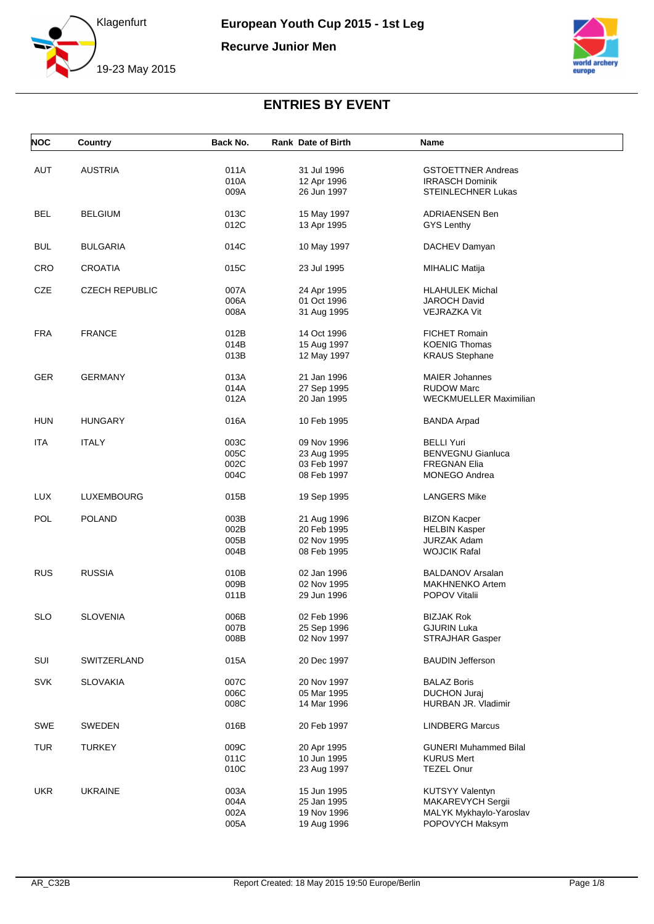

**Recurve Junior Men**



| <b>NOC</b> | Country               | Back No. | <b>Rank Date of Birth</b> | Name                         |  |
|------------|-----------------------|----------|---------------------------|------------------------------|--|
|            |                       |          |                           |                              |  |
| <b>AUT</b> | <b>AUSTRIA</b>        | 011A     | 31 Jul 1996               | <b>GSTOETTNER Andreas</b>    |  |
|            |                       | 010A     | 12 Apr 1996               | <b>IRRASCH Dominik</b>       |  |
|            |                       | 009A     | 26 Jun 1997               | <b>STEINLECHNER Lukas</b>    |  |
|            |                       |          |                           |                              |  |
| <b>BEL</b> | <b>BELGIUM</b>        | 013C     | 15 May 1997               | <b>ADRIAENSEN Ben</b>        |  |
|            |                       | 012C     | 13 Apr 1995               | GYS Lenthy                   |  |
|            |                       |          |                           |                              |  |
| <b>BUL</b> | <b>BULGARIA</b>       | 014C     | 10 May 1997               | DACHEV Damyan                |  |
|            |                       |          |                           |                              |  |
| <b>CRO</b> | CROATIA               | 015C     | 23 Jul 1995               | <b>MIHALIC Matija</b>        |  |
|            |                       |          |                           |                              |  |
| CZE        | <b>CZECH REPUBLIC</b> | 007A     | 24 Apr 1995               | <b>HLAHULEK Michal</b>       |  |
|            |                       | 006A     | 01 Oct 1996               | JAROCH David                 |  |
|            |                       | 008A     | 31 Aug 1995               | <b>VEJRAZKA Vit</b>          |  |
|            |                       |          |                           |                              |  |
| <b>FRA</b> | <b>FRANCE</b>         | 012B     | 14 Oct 1996               | <b>FICHET Romain</b>         |  |
|            |                       | 014B     | 15 Aug 1997               | <b>KOENIG Thomas</b>         |  |
|            |                       | 013B     | 12 May 1997               | <b>KRAUS Stephane</b>        |  |
|            |                       |          |                           |                              |  |
| <b>GER</b> | <b>GERMANY</b>        | 013A     | 21 Jan 1996               | <b>MAIER Johannes</b>        |  |
|            |                       | 014A     | 27 Sep 1995               | <b>RUDOW Marc</b>            |  |
|            |                       | 012A     | 20 Jan 1995               | WECKMUELLER Maximilian       |  |
|            |                       |          |                           |                              |  |
| <b>HUN</b> | <b>HUNGARY</b>        | 016A     | 10 Feb 1995               | <b>BANDA Arpad</b>           |  |
|            |                       |          |                           |                              |  |
| <b>ITA</b> | <b>ITALY</b>          | 003C     | 09 Nov 1996               | BELLI Yuri                   |  |
|            |                       | 005C     | 23 Aug 1995               | <b>BENVEGNU Gianluca</b>     |  |
|            |                       | 002C     | 03 Feb 1997               | FREGNAN Elia                 |  |
|            |                       | 004C     | 08 Feb 1997               | <b>MONEGO Andrea</b>         |  |
|            |                       |          |                           |                              |  |
| <b>LUX</b> | LUXEMBOURG            | 015B     | 19 Sep 1995               | <b>LANGERS Mike</b>          |  |
|            |                       |          |                           |                              |  |
| POL        | <b>POLAND</b>         | 003B     | 21 Aug 1996               | <b>BIZON Kacper</b>          |  |
|            |                       | 002B     | 20 Feb 1995               | <b>HELBIN Kasper</b>         |  |
|            |                       | 005B     | 02 Nov 1995               | <b>JURZAK Adam</b>           |  |
|            |                       | 004B     | 08 Feb 1995               | <b>WOJCIK Rafal</b>          |  |
|            |                       |          |                           |                              |  |
| <b>RUS</b> | <b>RUSSIA</b>         | 010B     | 02 Jan 1996               | <b>BALDANOV Arsalan</b>      |  |
|            |                       | 009B     | 02 Nov 1995               | <b>MAKHNENKO Artem</b>       |  |
|            |                       | 011B     | 29 Jun 1996               | POPOV Vitalii                |  |
|            |                       |          |                           |                              |  |
| <b>SLO</b> | <b>SLOVENIA</b>       | 006B     | 02 Feb 1996               | BIZJAK Rok                   |  |
|            |                       | 007B     | 25 Sep 1996               | <b>GJURIN Luka</b>           |  |
|            |                       | 008B     | 02 Nov 1997               | <b>STRAJHAR Gasper</b>       |  |
|            |                       |          |                           |                              |  |
| SUI        | SWITZERLAND           | 015A     | 20 Dec 1997               | <b>BAUDIN Jefferson</b>      |  |
|            |                       |          |                           |                              |  |
| <b>SVK</b> | <b>SLOVAKIA</b>       | 007C     | 20 Nov 1997               | <b>BALAZ Boris</b>           |  |
|            |                       | 006C     | 05 Mar 1995               | <b>DUCHON Juraj</b>          |  |
|            |                       | 008C     | 14 Mar 1996               | HURBAN JR. Vladimir          |  |
|            |                       |          |                           |                              |  |
| SWE        | <b>SWEDEN</b>         | 016B     | 20 Feb 1997               | <b>LINDBERG Marcus</b>       |  |
|            |                       |          |                           |                              |  |
| <b>TUR</b> | <b>TURKEY</b>         | 009C     | 20 Apr 1995               | <b>GUNERI Muhammed Bilal</b> |  |
|            |                       | 011C     | 10 Jun 1995               | <b>KURUS Mert</b>            |  |
|            |                       | 010C     | 23 Aug 1997               | <b>TEZEL Onur</b>            |  |
|            |                       |          |                           |                              |  |
| <b>UKR</b> | <b>UKRAINE</b>        | 003A     | 15 Jun 1995               | <b>KUTSYY Valentyn</b>       |  |
|            |                       | 004A     | 25 Jan 1995               | MAKAREVYCH Sergii            |  |
|            |                       | 002A     | 19 Nov 1996               | MALYK Mykhaylo-Yaroslav      |  |
|            |                       | 005A     | 19 Aug 1996               | POPOVYCH Maksym              |  |
|            |                       |          |                           |                              |  |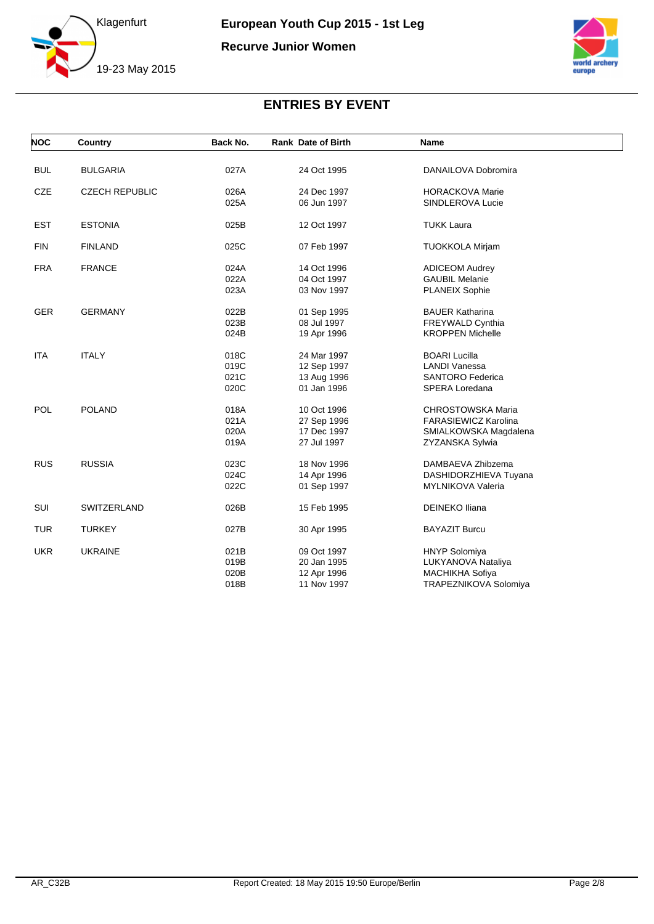

**Recurve Junior Women**



| <b>NOC</b> | Country               | Back No. | <b>Rank Date of Birth</b> | <b>Name</b>                 |  |
|------------|-----------------------|----------|---------------------------|-----------------------------|--|
| <b>BUL</b> | <b>BULGARIA</b>       | 027A     | 24 Oct 1995               | DANAILOVA Dobromira         |  |
|            |                       |          |                           |                             |  |
| <b>CZE</b> | <b>CZECH REPUBLIC</b> | 026A     | 24 Dec 1997               | <b>HORACKOVA Marie</b>      |  |
|            |                       | 025A     | 06 Jun 1997               | SINDLEROVA Lucie            |  |
| <b>EST</b> | <b>ESTONIA</b>        | 025B     | 12 Oct 1997               | <b>TUKK Laura</b>           |  |
| <b>FIN</b> | <b>FINLAND</b>        | 025C     | 07 Feb 1997               | <b>TUOKKOLA Mirjam</b>      |  |
| <b>FRA</b> | <b>FRANCE</b>         | 024A     | 14 Oct 1996               | <b>ADICEOM Audrey</b>       |  |
|            |                       | 022A     | 04 Oct 1997               | <b>GAUBIL Melanie</b>       |  |
|            |                       | 023A     | 03 Nov 1997               | <b>PLANEIX Sophie</b>       |  |
| <b>GER</b> | <b>GERMANY</b>        | 022B     | 01 Sep 1995               | <b>BAUER Katharina</b>      |  |
|            |                       | 023B     | 08 Jul 1997               | FREYWALD Cynthia            |  |
|            |                       | 024B     | 19 Apr 1996               | <b>KROPPEN Michelle</b>     |  |
| <b>ITA</b> | <b>ITALY</b>          | 018C     | 24 Mar 1997               | <b>BOARI Lucilla</b>        |  |
|            |                       | 019C     | 12 Sep 1997               | <b>LANDI Vanessa</b>        |  |
|            |                       | 021C     | 13 Aug 1996               | <b>SANTORO Federica</b>     |  |
|            |                       | 020C     | 01 Jan 1996               | SPERA Loredana              |  |
| POL        | <b>POLAND</b>         | 018A     | 10 Oct 1996               | <b>CHROSTOWSKA Maria</b>    |  |
|            |                       | 021A     | 27 Sep 1996               | <b>FARASIEWICZ Karolina</b> |  |
|            |                       | 020A     | 17 Dec 1997               | SMIALKOWSKA Magdalena       |  |
|            |                       | 019A     | 27 Jul 1997               | ZYZANSKA Sylwia             |  |
| <b>RUS</b> | <b>RUSSIA</b>         | 023C     | 18 Nov 1996               | DAMBAEVA Zhibzema           |  |
|            |                       | 024C     | 14 Apr 1996               | DASHIDORZHIEVA Tuyana       |  |
|            |                       | 022C     | 01 Sep 1997               | MYLNIKOVA Valeria           |  |
| SUI        | SWITZERLAND           | 026B     | 15 Feb 1995               | <b>DEINEKO Iliana</b>       |  |
| <b>TUR</b> | <b>TURKEY</b>         | 027B     | 30 Apr 1995               | <b>BAYAZIT Burcu</b>        |  |
| <b>UKR</b> | <b>UKRAINE</b>        | 021B     | 09 Oct 1997               | <b>HNYP Solomiya</b>        |  |
|            |                       | 019B     | 20 Jan 1995               | LUKYANOVA Nataliya          |  |
|            |                       | 020B     | 12 Apr 1996               | <b>MACHIKHA Sofiya</b>      |  |
|            |                       | 018B     | 11 Nov 1997               | TRAPEZNIKOVA Solomiya       |  |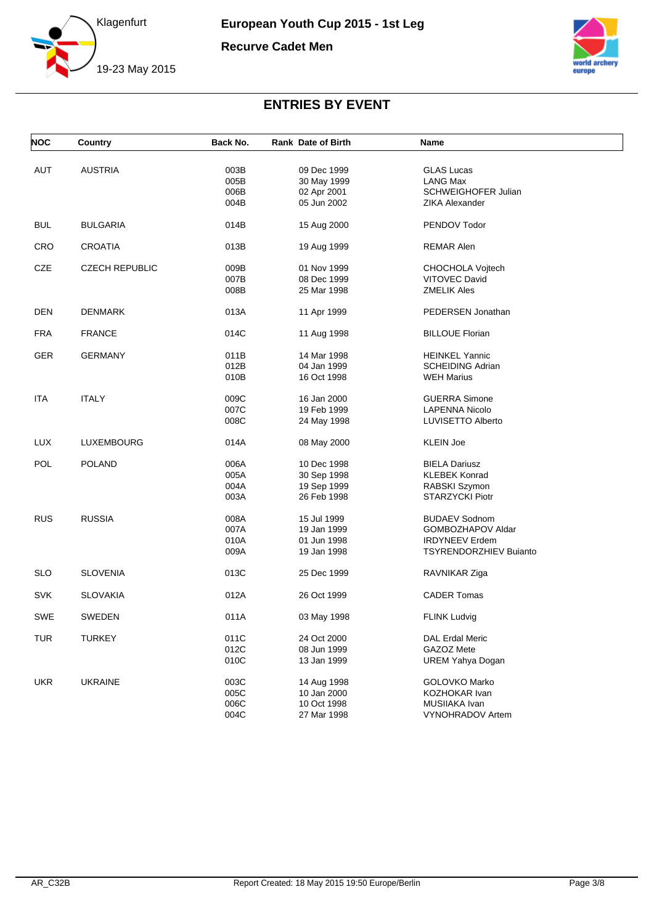

**Recurve Cadet Men**



| <b>NOC</b> | Country               | Back No. | <b>Rank Date of Birth</b> | <b>Name</b>                   |  |
|------------|-----------------------|----------|---------------------------|-------------------------------|--|
|            |                       |          |                           |                               |  |
| <b>AUT</b> | <b>AUSTRIA</b>        | 003B     | 09 Dec 1999               | <b>GLAS Lucas</b>             |  |
|            |                       | 005B     | 30 May 1999               | LANG Max                      |  |
|            |                       | 006B     | 02 Apr 2001               | <b>SCHWEIGHOFER Julian</b>    |  |
|            |                       | 004B     | 05 Jun 2002               | ZIKA Alexander                |  |
| <b>BUL</b> | <b>BULGARIA</b>       | 014B     | 15 Aug 2000               | PENDOV Todor                  |  |
| <b>CRO</b> | <b>CROATIA</b>        | 013B     | 19 Aug 1999               | <b>REMAR Alen</b>             |  |
| CZE        | <b>CZECH REPUBLIC</b> | 009B     | 01 Nov 1999               | CHOCHOLA Vojtech              |  |
|            |                       | 007B     | 08 Dec 1999               | <b>VITOVEC David</b>          |  |
|            |                       | 008B     | 25 Mar 1998               | <b>ZMELIK Ales</b>            |  |
| DEN        | DENMARK               | 013A     | 11 Apr 1999               | PEDERSEN Jonathan             |  |
| <b>FRA</b> | <b>FRANCE</b>         | 014C     | 11 Aug 1998               | <b>BILLOUE Florian</b>        |  |
| <b>GER</b> | <b>GERMANY</b>        | 011B     | 14 Mar 1998               | <b>HEINKEL Yannic</b>         |  |
|            |                       | 012B     | 04 Jan 1999               | <b>SCHEIDING Adrian</b>       |  |
|            |                       | 010B     | 16 Oct 1998               | <b>WEH Marius</b>             |  |
| ITA        | <b>ITALY</b>          | 009C     | 16 Jan 2000               | <b>GUERRA Simone</b>          |  |
|            |                       | 007C     | 19 Feb 1999               | <b>LAPENNA Nicolo</b>         |  |
|            |                       | 008C     | 24 May 1998               | LUVISETTO Alberto             |  |
| <b>LUX</b> | LUXEMBOURG            | 014A     | 08 May 2000               | <b>KLEIN Joe</b>              |  |
| POL        | <b>POLAND</b>         | 006A     | 10 Dec 1998               | <b>BIELA Dariusz</b>          |  |
|            |                       | 005A     | 30 Sep 1998               | <b>KLEBEK Konrad</b>          |  |
|            |                       | 004A     | 19 Sep 1999               | RABSKI Szymon                 |  |
|            |                       | 003A     | 26 Feb 1998               | <b>STARZYCKI Piotr</b>        |  |
| <b>RUS</b> | <b>RUSSIA</b>         | 008A     | 15 Jul 1999               | <b>BUDAEV Sodnom</b>          |  |
|            |                       | 007A     | 19 Jan 1999               | GOMBOZHAPOV Aldar             |  |
|            |                       | 010A     | 01 Jun 1998               | <b>IRDYNEEV Erdem</b>         |  |
|            |                       | 009A     | 19 Jan 1998               | <b>TSYRENDORZHIEV Buianto</b> |  |
| <b>SLO</b> | <b>SLOVENIA</b>       | 013C     | 25 Dec 1999               | RAVNIKAR Ziga                 |  |
| <b>SVK</b> | <b>SLOVAKIA</b>       | 012A     | 26 Oct 1999               | <b>CADER Tomas</b>            |  |
| SWE        | SWEDEN                | 011A     | 03 May 1998               | <b>FLINK Ludvig</b>           |  |
| <b>TUR</b> | <b>TURKEY</b>         | 011C     | 24 Oct 2000               | DAL Erdal Meric               |  |
|            |                       | 012C     | 08 Jun 1999               | GAZOZ Mete                    |  |
|            |                       | 010C     | 13 Jan 1999               | <b>UREM Yahya Dogan</b>       |  |
| <b>UKR</b> | <b>UKRAINE</b>        | 003C     | 14 Aug 1998               | GOLOVKO Marko                 |  |
|            |                       | 005C     | 10 Jan 2000               | KOZHOKAR Ivan                 |  |
|            |                       | 006C     | 10 Oct 1998               | MUSIIAKA Ivan                 |  |
|            |                       | 004C     | 27 Mar 1998               | VYNOHRADOV Artem              |  |
|            |                       |          |                           |                               |  |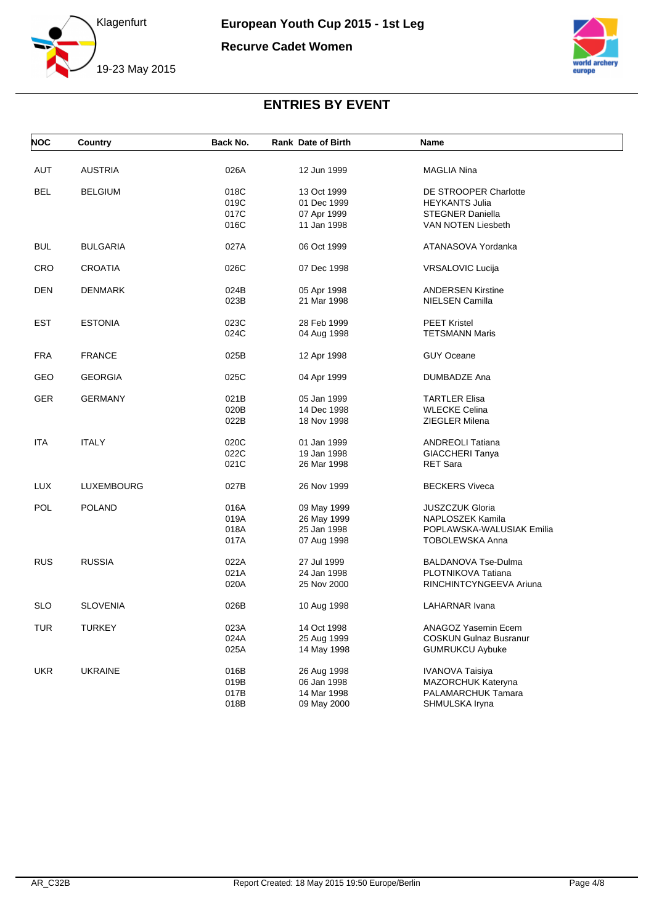

**Recurve Cadet Women**



| <b>NOC</b> | Country         | Back No. | <b>Rank Date of Birth</b> | <b>Name</b>                   |  |
|------------|-----------------|----------|---------------------------|-------------------------------|--|
| AUT        | <b>AUSTRIA</b>  | 026A     | 12 Jun 1999               | MAGLIA Nina                   |  |
|            |                 |          |                           |                               |  |
| <b>BEL</b> | <b>BELGIUM</b>  | 018C     | 13 Oct 1999               | DE STROOPER Charlotte         |  |
|            |                 | 019C     | 01 Dec 1999               | <b>HEYKANTS Julia</b>         |  |
|            |                 | 017C     | 07 Apr 1999               | <b>STEGNER Daniella</b>       |  |
|            |                 | 016C     | 11 Jan 1998               | VAN NOTEN Liesbeth            |  |
| <b>BUL</b> | <b>BULGARIA</b> | 027A     | 06 Oct 1999               | ATANASOVA Yordanka            |  |
| CRO        | <b>CROATIA</b>  | 026C     | 07 Dec 1998               | VRSALOVIC Lucija              |  |
| <b>DEN</b> | <b>DENMARK</b>  | 024B     | 05 Apr 1998               | <b>ANDERSEN Kirstine</b>      |  |
|            |                 | 023B     | 21 Mar 1998               | <b>NIELSEN Camilla</b>        |  |
| <b>EST</b> | <b>ESTONIA</b>  | 023C     | 28 Feb 1999               | <b>PEET Kristel</b>           |  |
|            |                 | 024C     | 04 Aug 1998               | <b>TETSMANN Maris</b>         |  |
| <b>FRA</b> | <b>FRANCE</b>   | 025B     | 12 Apr 1998               | <b>GUY Oceane</b>             |  |
| GEO        | <b>GEORGIA</b>  | 025C     | 04 Apr 1999               | DUMBADZE Ana                  |  |
| <b>GER</b> | <b>GERMANY</b>  | 021B     | 05 Jan 1999               | <b>TARTLER Elisa</b>          |  |
|            |                 | 020B     | 14 Dec 1998               | <b>WLECKE Celina</b>          |  |
|            |                 | 022B     | 18 Nov 1998               | <b>ZIEGLER Milena</b>         |  |
| <b>ITA</b> | <b>ITALY</b>    | 020C     | 01 Jan 1999               | <b>ANDREOLI Tatiana</b>       |  |
|            |                 | 022C     | 19 Jan 1998               | <b>GIACCHERI Tanya</b>        |  |
|            |                 | 021C     | 26 Mar 1998               | <b>RET Sara</b>               |  |
| <b>LUX</b> | LUXEMBOURG      | 027B     | 26 Nov 1999               | <b>BECKERS Viveca</b>         |  |
| <b>POL</b> | <b>POLAND</b>   | 016A     | 09 May 1999               | <b>JUSZCZUK Gloria</b>        |  |
|            |                 | 019A     | 26 May 1999               | NAPLOSZEK Kamila              |  |
|            |                 | 018A     | 25 Jan 1998               | POPLAWSKA-WALUSIAK Emilia     |  |
|            |                 | 017A     | 07 Aug 1998               | <b>TOBOLEWSKA Anna</b>        |  |
| <b>RUS</b> | <b>RUSSIA</b>   | 022A     | 27 Jul 1999               | BALDANOVA Tse-Dulma           |  |
|            |                 | 021A     | 24 Jan 1998               | PLOTNIKOVA Tatiana            |  |
|            |                 | 020A     | 25 Nov 2000               | RINCHINTCYNGEEVA Ariuna       |  |
| <b>SLO</b> | <b>SLOVENIA</b> | 026B     | 10 Aug 1998               | LAHARNAR Ivana                |  |
| <b>TUR</b> | <b>TURKEY</b>   | 023A     | 14 Oct 1998               | ANAGOZ Yasemin Ecem           |  |
|            |                 | 024A     | 25 Aug 1999               | <b>COSKUN Gulnaz Busranur</b> |  |
|            |                 | 025A     | 14 May 1998               | <b>GUMRUKCU Aybuke</b>        |  |
| <b>UKR</b> | <b>UKRAINE</b>  | 016B     | 26 Aug 1998               | <b>IVANOVA Taisiya</b>        |  |
|            |                 | 019B     | 06 Jan 1998               | MAZORCHUK Kateryna            |  |
|            |                 | 017B     | 14 Mar 1998               | PALAMARCHUK Tamara            |  |
|            |                 | 018B     | 09 May 2000               | SHMULSKA Iryna                |  |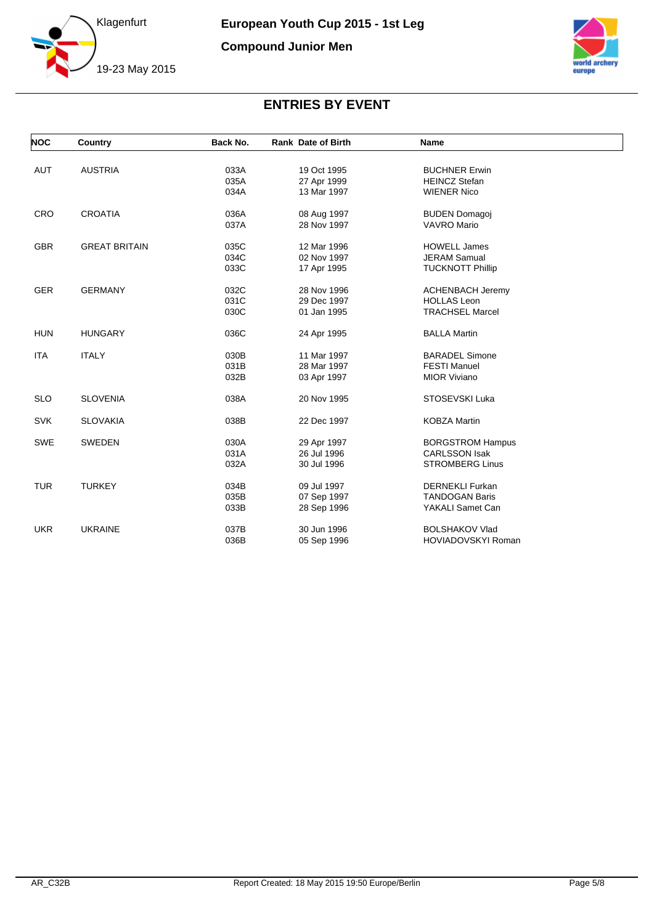

**Compound Junior Men**



| <b>AUT</b><br><b>AUSTRIA</b><br>033A<br><b>BUCHNER Erwin</b><br>19 Oct 1995      |  |
|----------------------------------------------------------------------------------|--|
| 035A<br>27 Apr 1999<br><b>HEINCZ Stefan</b>                                      |  |
| 034A<br>13 Mar 1997<br><b>WIENER Nico</b>                                        |  |
|                                                                                  |  |
| CRO<br><b>CROATIA</b><br>036A<br>08 Aug 1997<br><b>BUDEN Domagoj</b>             |  |
| 037A<br>28 Nov 1997<br><b>VAVRO Mario</b>                                        |  |
| 035C<br><b>GBR</b><br><b>GREAT BRITAIN</b><br>12 Mar 1996<br><b>HOWELL James</b> |  |
| 034C<br><b>JERAM Samual</b><br>02 Nov 1997                                       |  |
| 033C<br><b>TUCKNOTT Phillip</b><br>17 Apr 1995                                   |  |
|                                                                                  |  |
| 032C<br><b>GER</b><br><b>GERMANY</b><br>28 Nov 1996<br><b>ACHENBACH Jeremy</b>   |  |
| 031C<br>29 Dec 1997<br><b>HOLLAS Leon</b>                                        |  |
| 030C<br><b>TRACHSEL Marcel</b><br>01 Jan 1995                                    |  |
| <b>HUN</b><br><b>HUNGARY</b><br>036C<br><b>BALLA Martin</b><br>24 Apr 1995       |  |
| <b>ITA</b><br><b>ITALY</b><br>030B<br>11 Mar 1997<br><b>BARADEL Simone</b>       |  |
| 031B<br>28 Mar 1997<br><b>FESTI Manuel</b>                                       |  |
| 032B<br>03 Apr 1997<br><b>MIOR Viviano</b>                                       |  |
|                                                                                  |  |
| <b>SLO</b><br><b>SLOVENIA</b><br>038A<br>20 Nov 1995<br>STOSEVSKI Luka           |  |
| <b>SVK</b><br>038B<br><b>SLOVAKIA</b><br>22 Dec 1997<br><b>KOBZA Martin</b>      |  |
| <b>SWE</b><br><b>SWEDEN</b><br>030A<br>29 Apr 1997<br><b>BORGSTROM Hampus</b>    |  |
| 031A<br><b>CARLSSON Isak</b><br>26 Jul 1996                                      |  |
| 032A<br><b>STROMBERG Linus</b><br>30 Jul 1996                                    |  |
|                                                                                  |  |
| <b>TUR</b><br><b>TURKEY</b><br>034B<br>09 Jul 1997<br><b>DERNEKLI Furkan</b>     |  |
| 035B<br>07 Sep 1997<br><b>TANDOGAN Baris</b>                                     |  |
| 033B<br>YAKALI Samet Can<br>28 Sep 1996                                          |  |
| <b>UKR</b><br><b>UKRAINE</b><br>037B<br>30 Jun 1996<br><b>BOLSHAKOV Vlad</b>     |  |
| 036B<br><b>HOVIADOVSKYI Roman</b><br>05 Sep 1996                                 |  |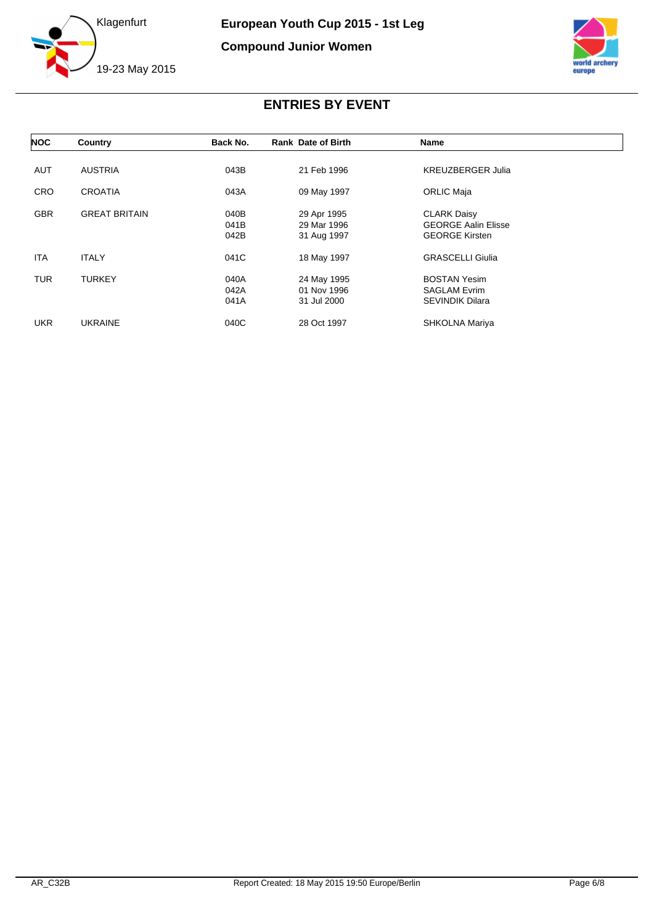

**Compound Junior Women**



| <b>NOC</b> | Country              | Back No. | <b>Rank Date of Birth</b> | Name                       |  |
|------------|----------------------|----------|---------------------------|----------------------------|--|
|            |                      |          |                           |                            |  |
| <b>AUT</b> | <b>AUSTRIA</b>       | 043B     | 21 Feb 1996               | <b>KREUZBERGER Julia</b>   |  |
| <b>CRO</b> | <b>CROATIA</b>       | 043A     | 09 May 1997               | <b>ORLIC Maja</b>          |  |
| <b>GBR</b> | <b>GREAT BRITAIN</b> | 040B     | 29 Apr 1995               | <b>CLARK Daisy</b>         |  |
|            |                      | 041B     | 29 Mar 1996               | <b>GEORGE Aalin Elisse</b> |  |
|            |                      | 042B     |                           | <b>GEORGE Kirsten</b>      |  |
|            |                      |          | 31 Aug 1997               |                            |  |
| <b>ITA</b> | <b>ITALY</b>         | 041C     | 18 May 1997               | <b>GRASCELLI Giulia</b>    |  |
| <b>TUR</b> | <b>TURKEY</b>        | 040A     | 24 May 1995               | <b>BOSTAN Yesim</b>        |  |
|            |                      | 042A     | 01 Nov 1996               | <b>SAGLAM Evrim</b>        |  |
|            |                      | 041A     | 31 Jul 2000               | <b>SEVINDIK Dilara</b>     |  |
|            |                      |          |                           |                            |  |
| <b>UKR</b> | <b>UKRAINE</b>       | 040C     | 28 Oct 1997               | SHKOLNA Mariya             |  |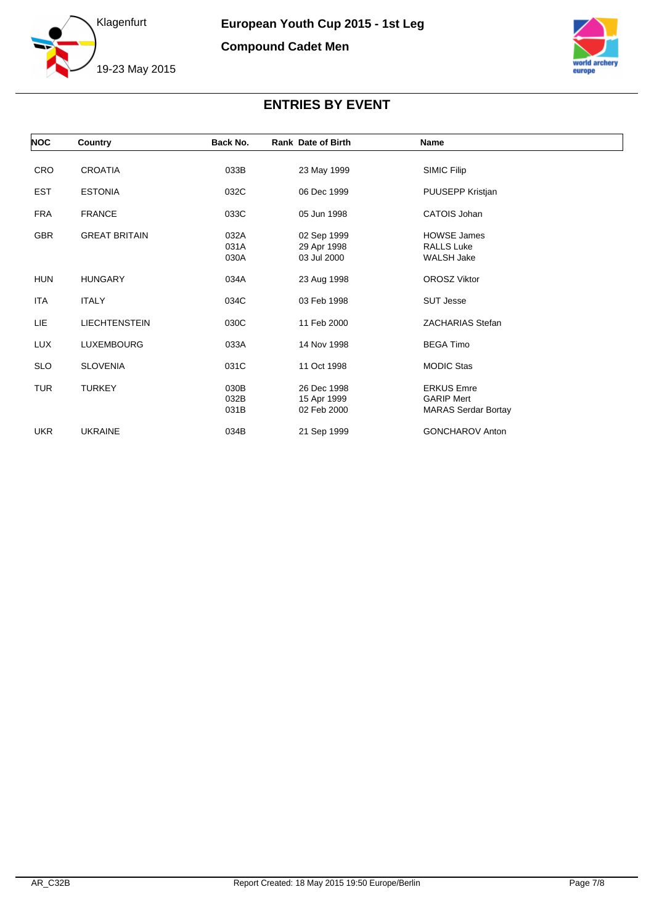



| <b>NOC</b> | Country              | Back No. | <b>Rank Date of Birth</b> | Name                       |  |
|------------|----------------------|----------|---------------------------|----------------------------|--|
| <b>CRO</b> | <b>CROATIA</b>       | 033B     | 23 May 1999               | SIMIC Filip                |  |
|            |                      |          |                           |                            |  |
| <b>EST</b> | <b>ESTONIA</b>       | 032C     | 06 Dec 1999               | PUUSEPP Kristjan           |  |
| <b>FRA</b> | <b>FRANCE</b>        | 033C     | 05 Jun 1998               | CATOIS Johan               |  |
| <b>GBR</b> | <b>GREAT BRITAIN</b> | 032A     | 02 Sep 1999               | <b>HOWSE James</b>         |  |
|            |                      | 031A     | 29 Apr 1998               | <b>RALLS Luke</b>          |  |
|            |                      | 030A     | 03 Jul 2000               | <b>WALSH Jake</b>          |  |
| <b>HUN</b> | <b>HUNGARY</b>       | 034A     | 23 Aug 1998               | <b>OROSZ Viktor</b>        |  |
| <b>ITA</b> | <b>ITALY</b>         | 034C     | 03 Feb 1998               | <b>SUT Jesse</b>           |  |
| LIE        | <b>LIECHTENSTEIN</b> | 030C     | 11 Feb 2000               | <b>ZACHARIAS Stefan</b>    |  |
| LUX        | LUXEMBOURG           | 033A     | 14 Nov 1998               | <b>BEGA Timo</b>           |  |
| <b>SLO</b> | <b>SLOVENIA</b>      | 031C     | 11 Oct 1998               | <b>MODIC Stas</b>          |  |
| <b>TUR</b> | <b>TURKEY</b>        | 030B     | 26 Dec 1998               | <b>ERKUS Emre</b>          |  |
|            |                      | 032B     | 15 Apr 1999               | <b>GARIP Mert</b>          |  |
|            |                      | 031B     | 02 Feb 2000               | <b>MARAS Serdar Bortay</b> |  |
| <b>UKR</b> | <b>UKRAINE</b>       | 034B     | 21 Sep 1999               | <b>GONCHAROV Anton</b>     |  |